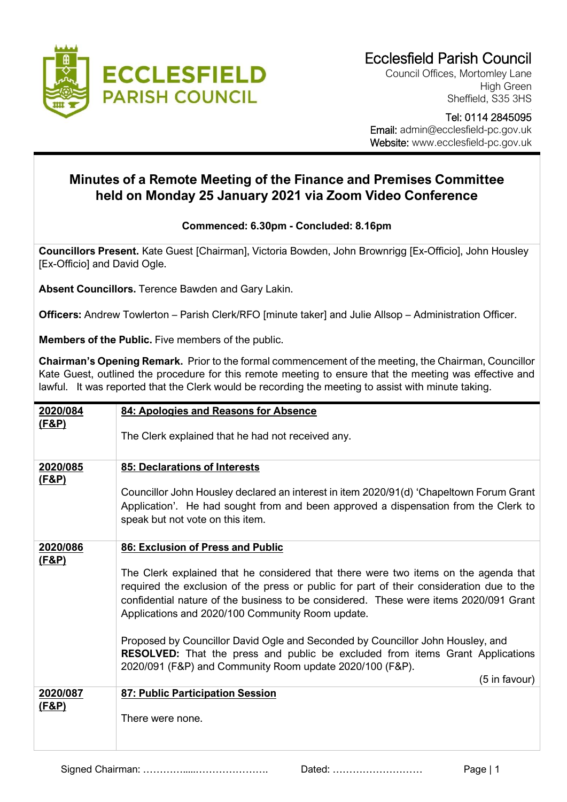

Council Offices, Mortomley Lane High Green Sheffield, S35 3HS

 Tel: 0114 2845095 Email: admin@ecclesfield-pc.gov.uk Website: www.ecclesfield-pc.gov.uk

## **Minutes of a Remote Meeting of the Finance and Premises Committee held on Monday 25 January 2021 via Zoom Video Conference**

## **Commenced: 6.30pm - Concluded: 8.16pm**

**Councillors Present.** Kate Guest [Chairman], Victoria Bowden, John Brownrigg [Ex-Officio], John Housley [Ex-Officio] and David Ogle.

**Absent Councillors.** Terence Bawden and Gary Lakin.

**Officers:** Andrew Towlerton – Parish Clerk/RFO [minute taker] and Julie Allsop – Administration Officer.

**Members of the Public.** Five members of the public.

**Chairman's Opening Remark.** Prior to the formal commencement of the meeting, the Chairman, Councillor Kate Guest, outlined the procedure for this remote meeting to ensure that the meeting was effective and lawful. It was reported that the Clerk would be recording the meeting to assist with minute taking.

| 84: Apologies and Reasons for Absence                                                                                                                                                                                                                                                                                        |
|------------------------------------------------------------------------------------------------------------------------------------------------------------------------------------------------------------------------------------------------------------------------------------------------------------------------------|
| The Clerk explained that he had not received any.                                                                                                                                                                                                                                                                            |
| 85: Declarations of Interests                                                                                                                                                                                                                                                                                                |
| Councillor John Housley declared an interest in item 2020/91(d) 'Chapeltown Forum Grant<br>Application'. He had sought from and been approved a dispensation from the Clerk to<br>speak but not vote on this item.                                                                                                           |
| 86: Exclusion of Press and Public                                                                                                                                                                                                                                                                                            |
| The Clerk explained that he considered that there were two items on the agenda that<br>required the exclusion of the press or public for part of their consideration due to the<br>confidential nature of the business to be considered. These were items 2020/091 Grant<br>Applications and 2020/100 Community Room update. |
| Proposed by Councillor David Ogle and Seconded by Councillor John Housley, and<br><b>RESOLVED:</b> That the press and public be excluded from items Grant Applications<br>2020/091 (F&P) and Community Room update 2020/100 (F&P).<br>(5 in favour)                                                                          |
| 87: Public Participation Session                                                                                                                                                                                                                                                                                             |
| There were none.                                                                                                                                                                                                                                                                                                             |
|                                                                                                                                                                                                                                                                                                                              |

Signed Chairman: ………….....…………………. Dated: ……………………… Page | 1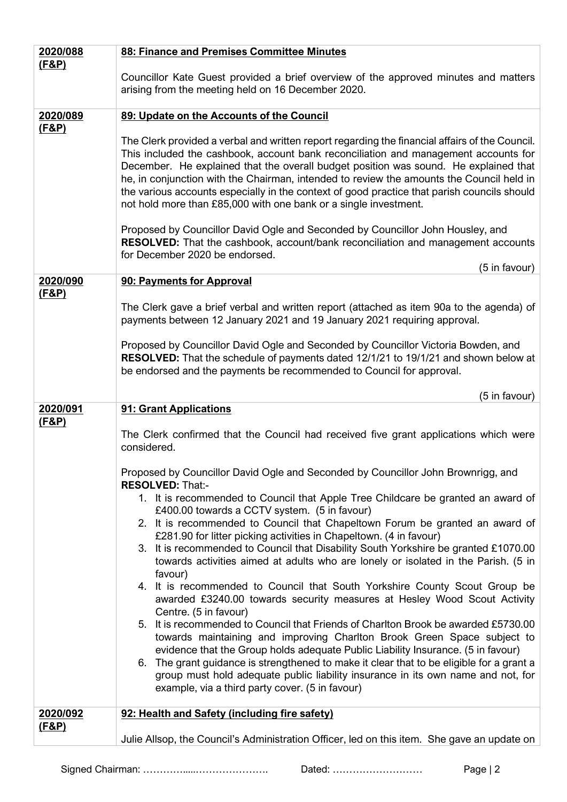| 2020/088                     | 88: Finance and Premises Committee Minutes                                                                                                                                                                                                                                                                                                                                                                                                                                                                                                   |
|------------------------------|----------------------------------------------------------------------------------------------------------------------------------------------------------------------------------------------------------------------------------------------------------------------------------------------------------------------------------------------------------------------------------------------------------------------------------------------------------------------------------------------------------------------------------------------|
| <u>(F&amp;P)</u>             | Councillor Kate Guest provided a brief overview of the approved minutes and matters<br>arising from the meeting held on 16 December 2020.                                                                                                                                                                                                                                                                                                                                                                                                    |
| 2020/089                     | 89: Update on the Accounts of the Council                                                                                                                                                                                                                                                                                                                                                                                                                                                                                                    |
| <u>(F&amp;P)</u>             | The Clerk provided a verbal and written report regarding the financial affairs of the Council.<br>This included the cashbook, account bank reconciliation and management accounts for<br>December. He explained that the overall budget position was sound. He explained that<br>he, in conjunction with the Chairman, intended to review the amounts the Council held in<br>the various accounts especially in the context of good practice that parish councils should<br>not hold more than £85,000 with one bank or a single investment. |
|                              | Proposed by Councillor David Ogle and Seconded by Councillor John Housley, and<br>RESOLVED: That the cashbook, account/bank reconciliation and management accounts<br>for December 2020 be endorsed.<br>(5 in favour)                                                                                                                                                                                                                                                                                                                        |
| 2020/090                     | 90: Payments for Approval                                                                                                                                                                                                                                                                                                                                                                                                                                                                                                                    |
| (F&P)                        | The Clerk gave a brief verbal and written report (attached as item 90a to the agenda) of<br>payments between 12 January 2021 and 19 January 2021 requiring approval.                                                                                                                                                                                                                                                                                                                                                                         |
|                              | Proposed by Councillor David Ogle and Seconded by Councillor Victoria Bowden, and<br>RESOLVED: That the schedule of payments dated 12/1/21 to 19/1/21 and shown below at<br>be endorsed and the payments be recommended to Council for approval.                                                                                                                                                                                                                                                                                             |
|                              | (5 in favour)                                                                                                                                                                                                                                                                                                                                                                                                                                                                                                                                |
| 2020/091<br><u>(F&amp;P)</u> | 91: Grant Applications<br>The Clerk confirmed that the Council had received five grant applications which were<br>considered.                                                                                                                                                                                                                                                                                                                                                                                                                |
|                              | Proposed by Councillor David Ogle and Seconded by Councillor John Brownrigg, and<br><b>RESOLVED: That:-</b>                                                                                                                                                                                                                                                                                                                                                                                                                                  |
|                              | 1. It is recommended to Council that Apple Tree Childcare be granted an award of<br>£400.00 towards a CCTV system. (5 in favour)                                                                                                                                                                                                                                                                                                                                                                                                             |
|                              | 2. It is recommended to Council that Chapeltown Forum be granted an award of                                                                                                                                                                                                                                                                                                                                                                                                                                                                 |
|                              | £281.90 for litter picking activities in Chapeltown. (4 in favour)<br>3. It is recommended to Council that Disability South Yorkshire be granted £1070.00<br>towards activities aimed at adults who are lonely or isolated in the Parish. (5 in<br>favour)                                                                                                                                                                                                                                                                                   |
|                              | 4. It is recommended to Council that South Yorkshire County Scout Group be<br>awarded £3240.00 towards security measures at Hesley Wood Scout Activity<br>Centre. (5 in favour)                                                                                                                                                                                                                                                                                                                                                              |
|                              | 5. It is recommended to Council that Friends of Charlton Brook be awarded £5730.00<br>towards maintaining and improving Charlton Brook Green Space subject to<br>evidence that the Group holds adequate Public Liability Insurance. (5 in favour)<br>6. The grant guidance is strengthened to make it clear that to be eligible for a grant a<br>group must hold adequate public liability insurance in its own name and not, for<br>example, via a third party cover. (5 in favour)                                                         |
| 2020/092                     | 92: Health and Safety (including fire safety)                                                                                                                                                                                                                                                                                                                                                                                                                                                                                                |
| <u>(F&amp;P)</u>             | Julie Allsop, the Council's Administration Officer, led on this item. She gave an update on                                                                                                                                                                                                                                                                                                                                                                                                                                                  |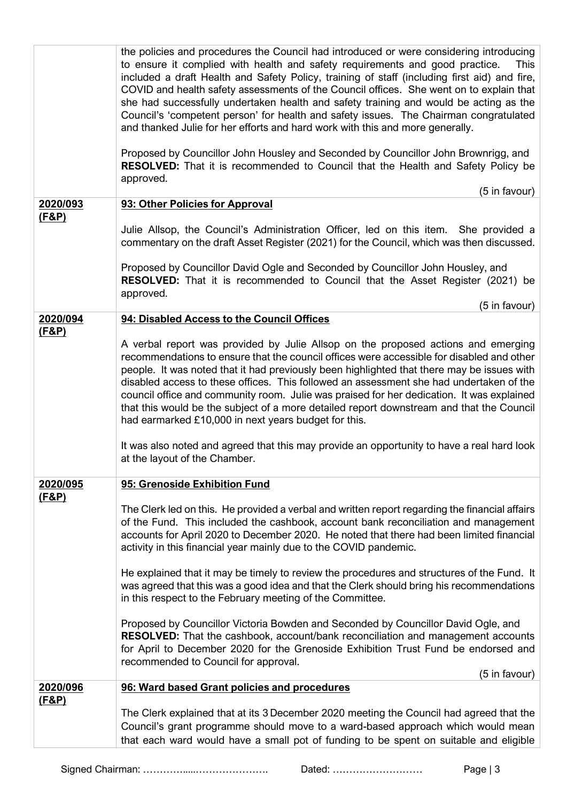|                              | the policies and procedures the Council had introduced or were considering introducing<br>to ensure it complied with health and safety requirements and good practice.<br>This<br>included a draft Health and Safety Policy, training of staff (including first aid) and fire,<br>COVID and health safety assessments of the Council offices. She went on to explain that<br>she had successfully undertaken health and safety training and would be acting as the<br>Council's 'competent person' for health and safety issues. The Chairman congratulated<br>and thanked Julie for her efforts and hard work with this and more generally.<br>Proposed by Councillor John Housley and Seconded by Councillor John Brownrigg, and<br>RESOLVED: That it is recommended to Council that the Health and Safety Policy be<br>approved.<br>(5 in favour) |
|------------------------------|------------------------------------------------------------------------------------------------------------------------------------------------------------------------------------------------------------------------------------------------------------------------------------------------------------------------------------------------------------------------------------------------------------------------------------------------------------------------------------------------------------------------------------------------------------------------------------------------------------------------------------------------------------------------------------------------------------------------------------------------------------------------------------------------------------------------------------------------------|
| 2020/093                     | 93: Other Policies for Approval                                                                                                                                                                                                                                                                                                                                                                                                                                                                                                                                                                                                                                                                                                                                                                                                                      |
| <u>(F&amp;P)</u>             | Julie Allsop, the Council's Administration Officer, led on this item. She provided a<br>commentary on the draft Asset Register (2021) for the Council, which was then discussed.                                                                                                                                                                                                                                                                                                                                                                                                                                                                                                                                                                                                                                                                     |
|                              | Proposed by Councillor David Ogle and Seconded by Councillor John Housley, and<br><b>RESOLVED:</b> That it is recommended to Council that the Asset Register (2021) be<br>approved.                                                                                                                                                                                                                                                                                                                                                                                                                                                                                                                                                                                                                                                                  |
|                              | (5 in favour)                                                                                                                                                                                                                                                                                                                                                                                                                                                                                                                                                                                                                                                                                                                                                                                                                                        |
| 2020/094<br><u>(F&amp;P)</u> | 94: Disabled Access to the Council Offices                                                                                                                                                                                                                                                                                                                                                                                                                                                                                                                                                                                                                                                                                                                                                                                                           |
|                              | A verbal report was provided by Julie Allsop on the proposed actions and emerging<br>recommendations to ensure that the council offices were accessible for disabled and other<br>people. It was noted that it had previously been highlighted that there may be issues with<br>disabled access to these offices. This followed an assessment she had undertaken of the<br>council office and community room. Julie was praised for her dedication. It was explained<br>that this would be the subject of a more detailed report downstream and that the Council<br>had earmarked £10,000 in next years budget for this.<br>It was also noted and agreed that this may provide an opportunity to have a real hard look                                                                                                                               |
|                              | at the layout of the Chamber.                                                                                                                                                                                                                                                                                                                                                                                                                                                                                                                                                                                                                                                                                                                                                                                                                        |
| 2020/095<br><u>(F&amp;P)</u> | 95: Grenoside Exhibition Fund<br>The Clerk led on this. He provided a verbal and written report regarding the financial affairs<br>of the Fund. This included the cashbook, account bank reconciliation and management<br>accounts for April 2020 to December 2020. He noted that there had been limited financial<br>activity in this financial year mainly due to the COVID pandemic.<br>He explained that it may be timely to review the procedures and structures of the Fund. It                                                                                                                                                                                                                                                                                                                                                                |
|                              | was agreed that this was a good idea and that the Clerk should bring his recommendations<br>in this respect to the February meeting of the Committee.<br>Proposed by Councillor Victoria Bowden and Seconded by Councillor David Ogle, and<br>RESOLVED: That the cashbook, account/bank reconciliation and management accounts<br>for April to December 2020 for the Grenoside Exhibition Trust Fund be endorsed and                                                                                                                                                                                                                                                                                                                                                                                                                                 |
|                              | recommended to Council for approval.                                                                                                                                                                                                                                                                                                                                                                                                                                                                                                                                                                                                                                                                                                                                                                                                                 |
| 2020/096<br><u>(F&amp;P)</u> | (5 in favour)<br>96: Ward based Grant policies and procedures                                                                                                                                                                                                                                                                                                                                                                                                                                                                                                                                                                                                                                                                                                                                                                                        |
|                              | The Clerk explained that at its 3 December 2020 meeting the Council had agreed that the<br>Council's grant programme should move to a ward-based approach which would mean<br>that each ward would have a small pot of funding to be spent on suitable and eligible                                                                                                                                                                                                                                                                                                                                                                                                                                                                                                                                                                                  |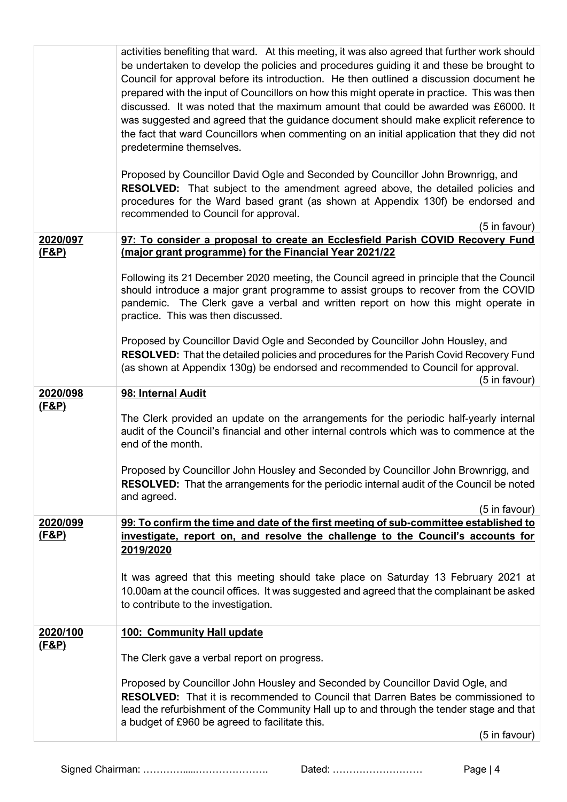|                              | activities benefiting that ward. At this meeting, it was also agreed that further work should<br>be undertaken to develop the policies and procedures guiding it and these be brought to<br>Council for approval before its introduction. He then outlined a discussion document he<br>prepared with the input of Councillors on how this might operate in practice. This was then<br>discussed. It was noted that the maximum amount that could be awarded was £6000. It<br>was suggested and agreed that the guidance document should make explicit reference to<br>the fact that ward Councillors when commenting on an initial application that they did not<br>predetermine themselves. |
|------------------------------|----------------------------------------------------------------------------------------------------------------------------------------------------------------------------------------------------------------------------------------------------------------------------------------------------------------------------------------------------------------------------------------------------------------------------------------------------------------------------------------------------------------------------------------------------------------------------------------------------------------------------------------------------------------------------------------------|
|                              | Proposed by Councillor David Ogle and Seconded by Councillor John Brownrigg, and<br><b>RESOLVED:</b> That subject to the amendment agreed above, the detailed policies and<br>procedures for the Ward based grant (as shown at Appendix 130f) be endorsed and<br>recommended to Council for approval.<br>(5 in favour)                                                                                                                                                                                                                                                                                                                                                                       |
| 2020/097                     | 97: To consider a proposal to create an Ecclesfield Parish COVID Recovery Fund                                                                                                                                                                                                                                                                                                                                                                                                                                                                                                                                                                                                               |
| <u>(F&amp;P)</u>             | (major grant programme) for the Financial Year 2021/22                                                                                                                                                                                                                                                                                                                                                                                                                                                                                                                                                                                                                                       |
|                              | Following its 21 December 2020 meeting, the Council agreed in principle that the Council<br>should introduce a major grant programme to assist groups to recover from the COVID<br>pandemic. The Clerk gave a verbal and written report on how this might operate in<br>practice. This was then discussed.                                                                                                                                                                                                                                                                                                                                                                                   |
|                              | Proposed by Councillor David Ogle and Seconded by Councillor John Housley, and<br>RESOLVED: That the detailed policies and procedures for the Parish Covid Recovery Fund<br>(as shown at Appendix 130g) be endorsed and recommended to Council for approval.<br>(5 in favour)                                                                                                                                                                                                                                                                                                                                                                                                                |
| 2020/098<br><u>(F&amp;P)</u> | 98: Internal Audit                                                                                                                                                                                                                                                                                                                                                                                                                                                                                                                                                                                                                                                                           |
|                              | The Clerk provided an update on the arrangements for the periodic half-yearly internal<br>audit of the Council's financial and other internal controls which was to commence at the<br>end of the month.                                                                                                                                                                                                                                                                                                                                                                                                                                                                                     |
|                              | Proposed by Councillor John Housley and Seconded by Councillor John Brownrigg, and<br><b>RESOLVED:</b> That the arrangements for the periodic internal audit of the Council be noted<br>and agreed.                                                                                                                                                                                                                                                                                                                                                                                                                                                                                          |
| 2020/099                     | (5 in favour)<br>99: To confirm the time and date of the first meeting of sub-committee established to                                                                                                                                                                                                                                                                                                                                                                                                                                                                                                                                                                                       |
| <u>(F&amp;P)</u>             | investigate, report on, and resolve the challenge to the Council's accounts for<br>2019/2020                                                                                                                                                                                                                                                                                                                                                                                                                                                                                                                                                                                                 |
|                              | It was agreed that this meeting should take place on Saturday 13 February 2021 at<br>10.00am at the council offices. It was suggested and agreed that the complainant be asked<br>to contribute to the investigation.                                                                                                                                                                                                                                                                                                                                                                                                                                                                        |
| 2020/100                     | 100: Community Hall update                                                                                                                                                                                                                                                                                                                                                                                                                                                                                                                                                                                                                                                                   |
| <u>(F&amp;P)</u>             | The Clerk gave a verbal report on progress.                                                                                                                                                                                                                                                                                                                                                                                                                                                                                                                                                                                                                                                  |
|                              | Proposed by Councillor John Housley and Seconded by Councillor David Ogle, and                                                                                                                                                                                                                                                                                                                                                                                                                                                                                                                                                                                                               |
|                              | <b>RESOLVED:</b> That it is recommended to Council that Darren Bates be commissioned to<br>lead the refurbishment of the Community Hall up to and through the tender stage and that<br>a budget of £960 be agreed to facilitate this.                                                                                                                                                                                                                                                                                                                                                                                                                                                        |
|                              | (5 in favour)                                                                                                                                                                                                                                                                                                                                                                                                                                                                                                                                                                                                                                                                                |